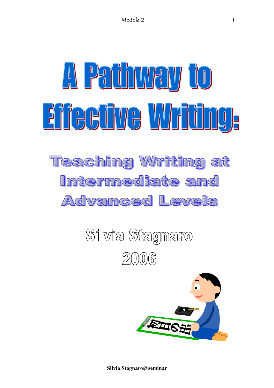# A Pathway to Eifeeüve Wriüng, **Teaching Writing at** Intermediate and AC Vanced Levels

Silvia Stagnaro  $2006$ 

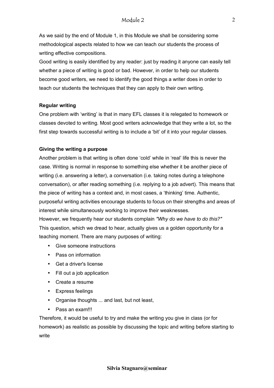As we said by the end of Module 1, in this Module we shall be considering some methodological aspects related to how we can teach our students the process of writing effective compositions.

Good writing is easily identified by any reader: just by reading it anyone can easily tell whether a piece of writing is good or bad. However, in order to help our students become good writers, we need to identify the good things a writer does in order to teach our students the techniques that they can apply to their own writing.

#### **Regular writing**

One problem with 'writing' is that in many EFL classes it is relegated to homework or classes devoted to writing. Most good writers acknowledge that they write a lot, so the first step towards successful writing is to include a 'bit' of it into your regular classes.

#### **Giving the writing a purpose**

Another problem is that writing is often done 'cold' while in 'real' life this is never the case. Writing is normal in response to something else whether it be another piece of writing (i.e. answering a letter), a conversation (i.e. taking notes during a telephone conversation), or after reading something (i.e. replying to a job advert). This means that the piece of writing has a context and, in most cases, a ëthinkingí time. Authentic, purposeful writing activities encourage students to focus on their strengths and areas of interest while simultaneously working to improve their weaknesses.

However, we frequently hear our students complain *"Why do we have to do this?"*  This question, which we dread to hear, actually gives us a golden opportunity for a teaching moment. There are many purposes of writing:

- Give someone instructions
- Pass on information
- Get a driver's license
- Fill out a job application
- Create a resume
- Express feelings
- Organise thoughts ... and last, but not least,
- Pass an exam!!!

Therefore, it would be useful to try and make the writing you give in class (or for homework) as realistic as possible by discussing the topic and writing before starting to write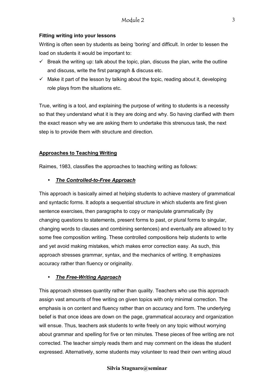# **Fitting writing into your lessons**

Writing is often seen by students as being 'boring' and difficult. In order to lessen the load on students it would be important to:

- $\checkmark$  Break the writing up: talk about the topic, plan, discuss the plan, write the outline and discuss, write the first paragraph & discuss etc.
- $\checkmark$  Make it part of the lesson by talking about the topic, reading about it, developing role plays from the situations etc.

True, writing is a tool, and explaining the purpose of writing to students is a necessity so that they understand what it is they are doing and why. So having clarified with them the exact reason why we are asking them to undertake this strenuous task, the next step is to provide them with structure and direction.

# **Approaches to Teaching Writing**

Raimes, 1983, classifies the approaches to teaching writing as follows:

# • *The Controlled-to-Free Approach*

This approach is basically aimed at helping students to achieve mastery of grammatical and syntactic forms. It adopts a sequential structure in which students are first given sentence exercises, then paragraphs to copy or manipulate grammatically (by changing questions to statements, present forms to past, or plural forms to singular, changing words to clauses and combining sentences) and eventually are allowed to try some free composition writing. These controlled compositions help students to write and yet avoid making mistakes, which makes error correction easy. As such, this approach stresses grammar, syntax, and the mechanics of writing. It emphasizes accuracy rather than fluency or originality.

# • *The Free-Writing Approach*

This approach stresses quantity rather than quality. Teachers who use this approach assign vast amounts of free writing on given topics with only minimal correction. The emphasis is on content and fluency rather than on accuracy and form. The underlying belief is that once ideas are down on the page, grammatical accuracy and organization will ensue. Thus, teachers ask students to write freely on any topic without worrying about grammar and spelling for five or ten minutes. These pieces of free writing are not corrected. The teacher simply reads them and may comment on the ideas the student expressed. Alternatively, some students may volunteer to read their own writing aloud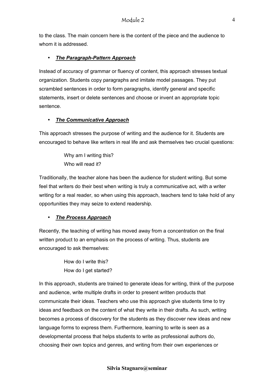to the class. The main concern here is the content of the piece and the audience to whom it is addressed.

# • *The Paragraph-Pattern Approach*

Instead of accuracy of grammar or fluency of content, this approach stresses textual organization. Students copy paragraphs and imitate model passages. They put scrambled sentences in order to form paragraphs, identify general and specific statements, insert or delete sentences and choose or invent an appropriate topic sentence.

# • *The Communicative Approach*

This approach stresses the purpose of writing and the audience for it. Students are encouraged to behave like writers in real life and ask themselves two crucial questions:

> Why am I writing this? Who will read it?

Traditionally, the teacher alone has been the audience for student writing. But some feel that writers do their best when writing is truly a communicative act, with a writer writing for a real reader, so when using this approach, teachers tend to take hold of any opportunities they may seize to extend readership.

# • *The Process Approach*

Recently, the teaching of writing has moved away from a concentration on the final written product to an emphasis on the process of writing. Thus, students are encouraged to ask themselves:

> How do I write this? How do I get started?

In this approach, students are trained to generate ideas for writing, think of the purpose and audience, write multiple drafts in order to present written products that communicate their ideas. Teachers who use this approach give students time to try ideas and feedback on the content of what they write in their drafts. As such, writing becomes a process of discovery for the students as they discover new ideas and new language forms to express them. Furthermore, learning to write is seen as a developmental process that helps students to write as professional authors do, choosing their own topics and genres, and writing from their own experiences or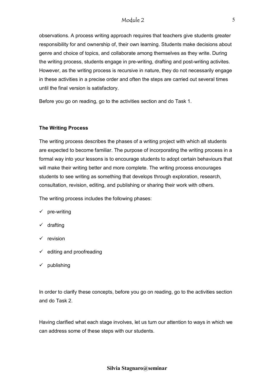# Module 2

observations. A process writing approach requires that teachers give students greater responsibility for and ownership of, their own learning. Students make decisions about genre and choice of topics, and collaborate among themselves as they write. During the writing process, students engage in pre-writing, drafting and post-writing activites. However, as the writing process is recursive in nature, they do not necessarily engage in these activities in a precise order and often the steps are carried out several times until the final version is satisfactory.

Before you go on reading, go to the activities section and do Task 1.

#### **The Writing Process**

The writing process describes the phases of a writing project with which all students are expected to become familiar. The purpose of incorporating the writing process in a formal way into your lessons is to encourage students to adopt certain behaviours that will make their writing better and more complete. The writing process encourages students to see writing as something that develops through exploration, research, consultation, revision, editing, and publishing or sharing their work with others.

The writing process includes the following phases:

- $\checkmark$  pre-writing
- $\checkmark$  drafting
- $\checkmark$  revision
- $\checkmark$  editing and proofreading
- $\checkmark$  publishing

In order to clarify these concepts, before you go on reading, go to the activities section and do Task 2.

Having clarified what each stage involves, let us turn our attention to ways in which we can address some of these steps with our students.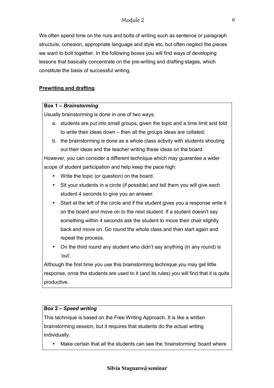# Module 2

We often spend time on the nuts and bolts of writing such as sentence or paragraph structure, cohesion, appropriate language and style etc, but often neglect the pieces we want to bolt together. In the following boxes you will find ways of developing lessons that basically concentrate on the pre-writing and drafting stages, which constitute the basis of successful writing.

# **Prewriting and drafting**

#### **Box 1 – Brainstorming**

Usually brainstorming is done in one of two ways:

- a. students are put into small groups, given the topic and a time limit and told to write their ideas down  $-$  then all the groups ideas are collated;
- b. the brainstorming is done as a whole class activity with students shouting out their ideas and the teacher writing these ideas on the board.

However, you can consider a different technique which may guarantee a wider scope of student participation and help keep the pace high:

- Write the topic (or question) on the board.
- Sit your students in a circle (if possible) and tell them you will give each student 4 seconds to give you an answer.
- Start at the left of the circle and if the student gives you a response write it on the board and move on to the next student. If a student doesnít say something within 4 seconds ask the student to move their chair slightly back and move on. Go round the whole class and then start again and repeat the process.
- On the third round any student who didn't say anything (in any round) is ëoutí.

Although the first time you use this brainstorming technique you may get little response, once the students are used to it (and its rules) you will find that it is quite productive.

# **Box 2 - Speed writing**

This technique is based on the Free Writing Approach. It is like a written brainstorming session, but it requires that students do the actual writing individually.

• Make certain that all the students can see the 'brainstorming' board where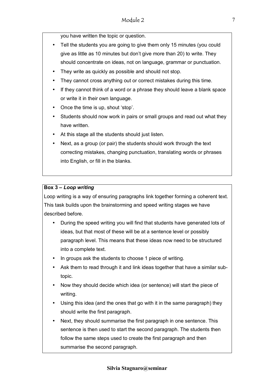you have written the topic or question.

- Tell the students you are going to give them only 15 minutes (you could give as little as 10 minutes but don't give more than 20) to write. They should concentrate on ideas, not on language, grammar or punctuation.
- They write as quickly as possible and should not stop.
- They cannot cross anything out or correct mistakes during this time.
- If they cannot think of a word or a phrase they should leave a blank space or write it in their own language.
- Once the time is up, shout 'stop'.
- Students should now work in pairs or small groups and read out what they have written.
- At this stage all the students should just listen.
- Next, as a group (or pair) the students should work through the text correcting mistakes, changing punctuation, translating words or phrases into English, or fill in the blanks.

# **Box 3 – Loop writing**

Loop writing is a way of ensuring paragraphs link together forming a coherent text. This task builds upon the brainstorming and speed writing stages we have described before.

- During the speed writing you will find that students have generated lots of ideas, but that most of these will be at a sentence level or possibly paragraph level. This means that these ideas now need to be structured into a complete text.
- In groups ask the students to choose 1 piece of writing.
- Ask them to read through it and link ideas together that have a similar subtopic.
- Now they should decide which idea (or sentence) will start the piece of writing.
- Using this idea (and the ones that go with it in the same paragraph) they should write the first paragraph.
- Next, they should summarise the first paragraph in one sentence. This sentence is then used to start the second paragraph. The students then follow the same steps used to create the first paragraph and then summarise the second paragraph.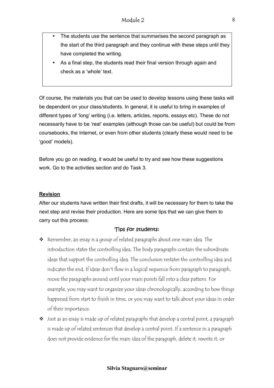- The students use the sentence that summarises the second paragraph as the start of the third paragraph and they continue with these steps until they have completed the writing.
- As a final step, the students read their final version through again and check as a 'whole' text.

Of course, the materials you that can be used to develop lessons using these tasks will be dependent on your class/students. In general, it is useful to bring in examples of different types of 'long' writing (i.e. letters, articles, reports, essays etc). These do not necessarily have to be 'real' examples (although those can be useful) but could be from coursebooks, the Internet, or even from other students (clearly these would need to be 'good' models).

Before you go on reading, it would be useful to try and see how these suggestions work. Go to the activities section and do Task 3.

# **Revision**

After our students have written their first drafts, it will be necessary for them to take the next step and revise their production. Here are some tips that we can give them to carry out this process:

## Tips for students:

- $\triangleq$  Remember, an essay is a group of related paragraphs about one main idea. The introduction states the controlling idea. The body paragraphs contain the subordinate ideas that support the controlling idea. The conclusion restates the controlling idea and indicates the end. If ideas don't flow in a logical sequence from paragraph to paragraph, move the paragraphs around until your main points fall into a clear pattern. For example, you may want to organize your ideas chronologically, according to how things happened from start to finish in time, or you may want to talk about your ideas in order of their importance.
- $\bullet$  Just as an essay is made up of related paragraphs that develop a central point, a paragraph is made up of related sentences that develop a central point. If a sentence in a paragraph does not provide evidence for the main idea of the paragraph, delete it, rewrite it, or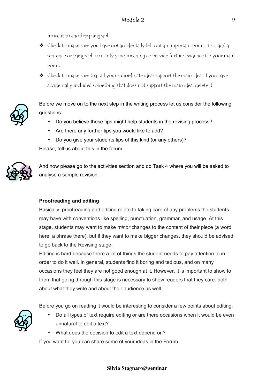move it to another paragraph.

- $\bullet$  Check to make sure you have not accidentally left out an important point. If so, add a sentence or paragraph to clarify your meaning or provide further evidence for your main point.
- $\bullet$  Check to make sure that all your subordinate ideas support the main idea. If you have accidentally included something that does not support the main idea, delete it.



Before we move on to the next step in the writing process let us consider the following questions:

- Do you believe these tips might help students in the revising process?
- Are there any further tips you would like to add?
- Do you give your students tips of this kind (or any others)? Please, tell us about this in the forum.



And now please go to the activities section and do Task 4 where you will be asked to analyse a sample revision.

## **Proofreading and editing**

Basically, proofreading and editing relate to taking care of any problems the students may have with conventions like spelling, punctuation, grammar, and usage. At this stage, students may want to make *minor* changes to the content of their piece (a word here, a phrase there), but if they want to make bigger changes, they should be advised to go back to the Revising stage.

Editing is hard because there a lot of things the student needs to pay attention to in order to do it well. In general, students find it boring and tedious, and on many occasions they feel they are not good enough at it. However, it is important to show to them that going through this stage is necessary to show readers that they care: both about what they write and about their audience as well.

Before you go on reading it would be interesting to consider a few points about editing:



- Do all types of text require editing or are there occasions when it would be even unnatural to edit a text?
- What does the decision to edit a text depend on?

If you want to, you can share some of your ideas in the Forum.